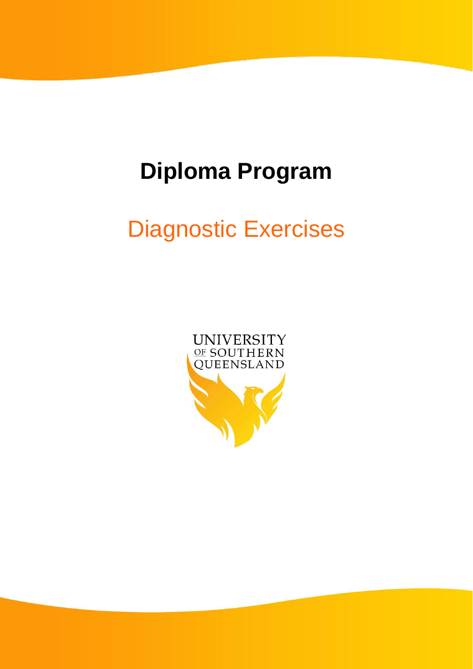# **Diploma Program**

# Diagnostic Exercises

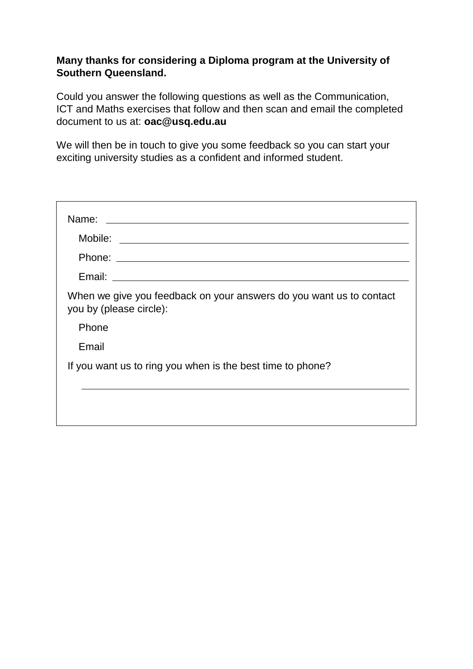#### **Many thanks for considering a Diploma program at the University of Southern Queensland.**

Could you answer the following questions as well as the Communication, ICT and Maths exercises that follow and then scan and email the completed document to us at: **oac@usq.edu.au**

We will then be in touch to give you some feedback so you can start your exciting university studies as a confident and informed student.

| When we give you feedback on your answers do you want us to contact<br>you by (please circle): |
|------------------------------------------------------------------------------------------------|
| Phone                                                                                          |
| Email                                                                                          |
| If you want us to ring you when is the best time to phone?                                     |
|                                                                                                |
|                                                                                                |
|                                                                                                |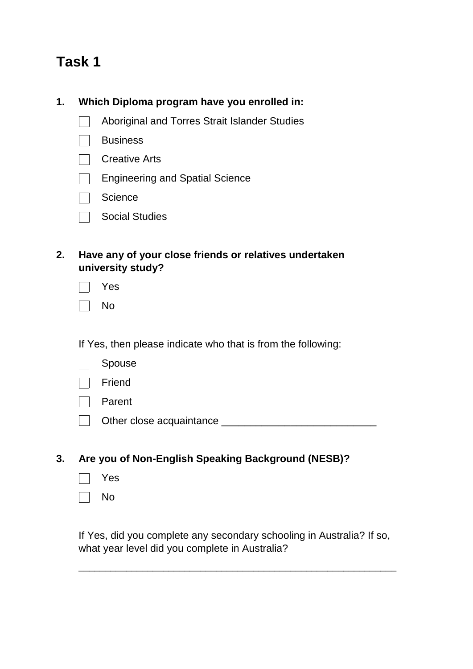### **Task 1**

#### **1. Which Diploma program have you enrolled in:**

- Aboriginal and Torres Strait Islander Studies  $\Box$
- **Business**  $\sim 10$
- **Creative Arts**
- Engineering and Spatial Science
- Science
- Social Studies
- **2. Have any of your close friends or relatives undertaken university study?**

| c<br>⊐ |
|--------|
|        |

|--|--|

If Yes, then please indicate who that is from the following:

- Spouse
- Friend
- **Parent**
- Other close acquaintance \_\_\_\_\_\_\_\_\_\_\_\_\_\_\_\_\_\_\_\_\_\_\_\_\_\_\_

#### **3. Are you of Non-English Speaking Background (NESB)?**

- Yes
- No

If Yes, did you complete any secondary schooling in Australia? If so, what year level did you complete in Australia?

\_\_\_\_\_\_\_\_\_\_\_\_\_\_\_\_\_\_\_\_\_\_\_\_\_\_\_\_\_\_\_\_\_\_\_\_\_\_\_\_\_\_\_\_\_\_\_\_\_\_\_\_\_\_\_\_\_\_\_\_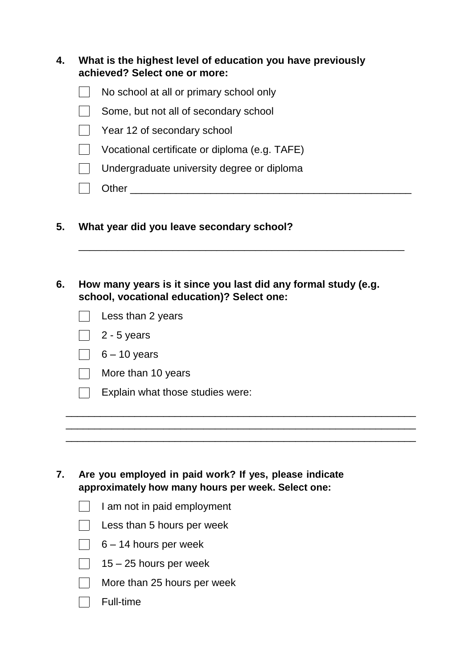| 4. | What is the highest level of education you have previously<br>achieved? Select one or more: |                                               |
|----|---------------------------------------------------------------------------------------------|-----------------------------------------------|
|    |                                                                                             | No school at all or primary school only       |
|    |                                                                                             | Some, but not all of secondary school         |
|    |                                                                                             | Year 12 of secondary school                   |
|    |                                                                                             | Vocational certificate or diploma (e.g. TAFE) |
|    |                                                                                             | Undergraduate university degree or diploma    |
|    |                                                                                             | hei                                           |

- **5. What year did you leave secondary school?**
- **6. How many years is it since you last did any formal study (e.g. school, vocational education)? Select one:**

\_\_\_\_\_\_\_\_\_\_\_\_\_\_\_\_\_\_\_\_\_\_\_\_\_\_\_\_\_\_\_\_\_\_\_\_\_\_\_\_\_\_\_\_\_\_\_\_\_\_\_\_\_\_\_\_\_\_\_

\_\_\_\_\_\_\_\_\_\_\_\_\_\_\_\_\_\_\_\_\_\_\_\_\_\_\_\_\_\_\_\_\_\_\_\_\_\_\_\_\_\_\_\_\_\_\_\_\_\_\_\_\_\_\_\_\_\_\_\_\_ \_\_\_\_\_\_\_\_\_\_\_\_\_\_\_\_\_\_\_\_\_\_\_\_\_\_\_\_\_\_\_\_\_\_\_\_\_\_\_\_\_\_\_\_\_\_\_\_\_\_\_\_\_\_\_\_\_\_\_\_\_

 $\mathcal{L}_\text{max} = \mathcal{L}_\text{max} = \mathcal{L}_\text{max} = \mathcal{L}_\text{max} = \mathcal{L}_\text{max} = \mathcal{L}_\text{max} = \mathcal{L}_\text{max} = \mathcal{L}_\text{max}$ 

| $\vert \ \vert$ Less than 2 years |
|-----------------------------------|
| $\vert$ 2 - 5 years               |
| $6 - 10$ years                    |
| $\vert$   More than 10 years      |
| Evoloin what those of u           |

 $\Box$  Explain what those studies were:

- **7. Are you employed in paid work? If yes, please indicate approximately how many hours per week. Select one:**
	- $\Box$  I am not in paid employment
	- $\Box$  Less than 5 hours per week
	- $\begin{array}{|c|c|} \hline \phantom{a}6 14 \text{ hours per week} \hline \end{array}$
	- $\overline{1}$  15 25 hours per week
	- More than 25 hours per week
	- $\Box$  Full-time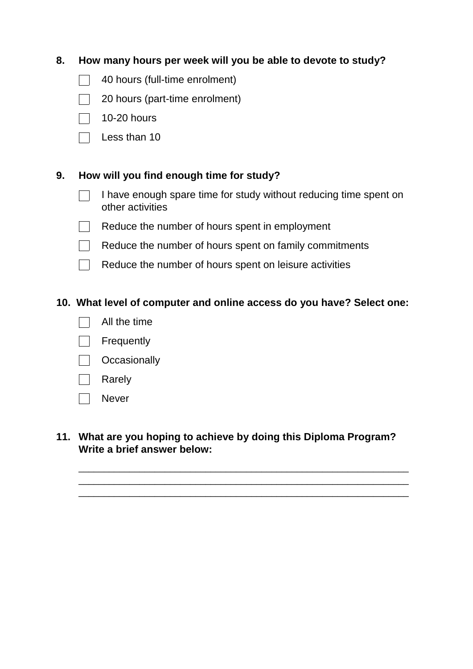#### **8. How many hours per week will you be able to devote to study?**

- 40 hours (full-time enrolment)  $\Box$
- $\mathbb{R}^n$ 20 hours (part-time enrolment)
- $\Box$  10-20 hours
- $\Box$  Less than 10

#### **9. How will you find enough time for study?**

- $\Box$ I have enough spare time for study without reducing time spent on other activities
- $\Box$ Reduce the number of hours spent in employment
- $\Box$  Reduce the number of hours spent on family commitments
- $\Box$  Reduce the number of hours spent on leisure activities

#### **10. What level of computer and online access do you have? Select one:**

- $\overline{a}$ All the time
- **Frequently**
- $\Box$  Occasionally
- **The Common** Rarely
- Never  $\mathbf{1}$

#### **11. What are you hoping to achieve by doing this Diploma Program? Write a brief answer below:**

\_\_\_\_\_\_\_\_\_\_\_\_\_\_\_\_\_\_\_\_\_\_\_\_\_\_\_\_\_\_\_\_\_\_\_\_\_\_\_\_\_\_\_\_\_\_\_\_\_\_\_\_\_\_\_\_\_\_\_\_\_\_\_\_\_ \_\_\_\_\_\_\_\_\_\_\_\_\_\_\_\_\_\_\_\_\_\_\_\_\_\_\_\_\_\_\_\_\_\_\_\_\_\_\_\_\_\_\_\_\_\_\_\_\_\_\_\_\_\_\_\_\_\_\_\_\_\_\_\_\_ \_\_\_\_\_\_\_\_\_\_\_\_\_\_\_\_\_\_\_\_\_\_\_\_\_\_\_\_\_\_\_\_\_\_\_\_\_\_\_\_\_\_\_\_\_\_\_\_\_\_\_\_\_\_\_\_\_\_\_\_\_\_\_\_\_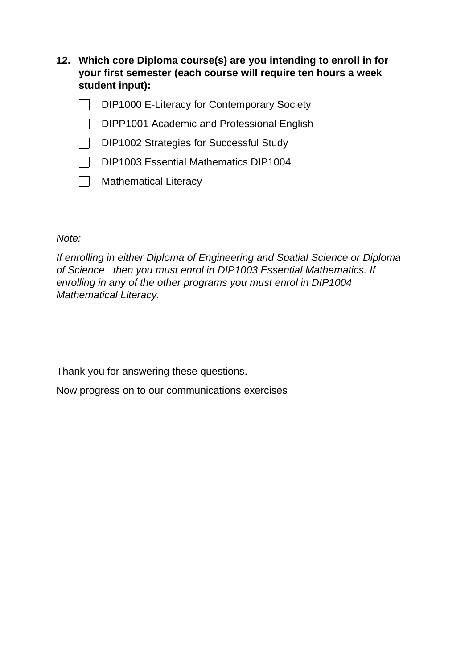- **12. Which core Diploma course(s) are you intending to enroll in for your first semester (each course will require ten hours a week student input):**
	- DIP1000 E-Literacy for Contemporary Society  $\mathbf{L}$
	- DIPP1001 Academic and Professional English  $\sim$
	- $\Box$ DIP1002 Strategies for Successful Study
	- DIP1003 Essential Mathematics DIP1004 ۳.
	- T. Mathematical Literacy

*Note:*

*If enrolling in either Diploma of Engineering and Spatial Science or Diploma of Science then you must enrol in DIP1003 Essential Mathematics. If enrolling in any of the other programs you must enrol in DIP1004 Mathematical Literacy.*

Thank you for answering these questions.

Now progress on to our communications exercises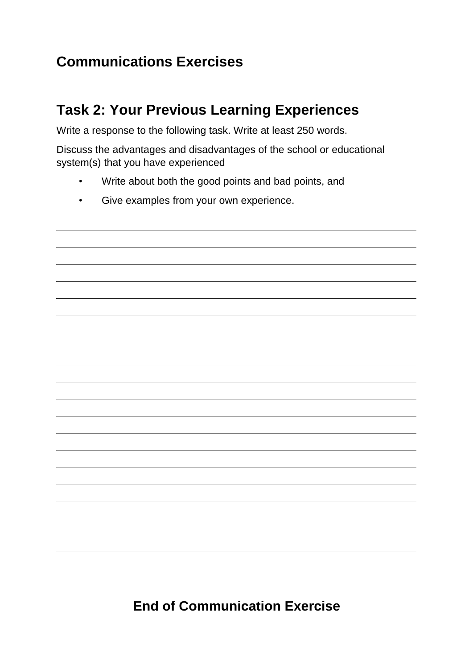### **Communications Exercises**

### **Task 2: Your Previous Learning Experiences**

Write a response to the following task. Write at least 250 words.

Discuss the advantages and disadvantages of the school or educational system(s) that you have experienced

- Write about both the good points and bad points, and
- Give examples from your own experience.

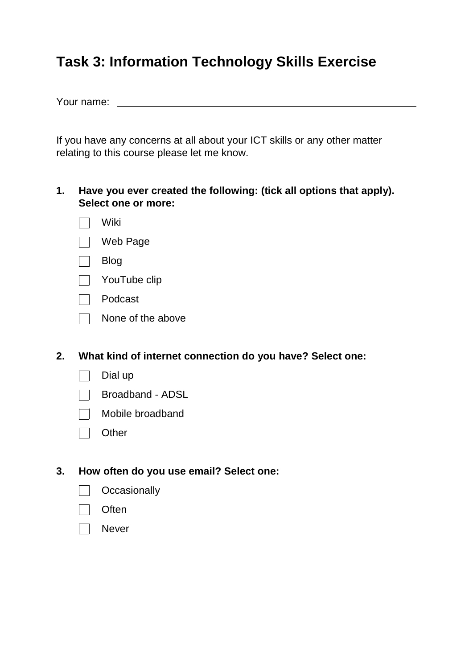### **Task 3: Information Technology Skills Exercise**

Your name:

If you have any concerns at all about your ICT skills or any other matter relating to this course please let me know.

- **1. Have you ever created the following: (tick all options that apply). Select one or more:**
	- $\Box$  Wiki
	- Web Page
	- Blog
	- $\Box$  YouTube clip
	- Podcast
	- $\Box$  None of the above
- **2. What kind of internet connection do you have? Select one:**
	- $\Box$ Dial up
	- Broadband ADSL
	- $\mathcal{L}^{\mathcal{A}}$ Mobile broadband
	- $\Box$  Other

#### **3. How often do you use email? Select one:**

- $\Box$  Occasionally
- Often
- Never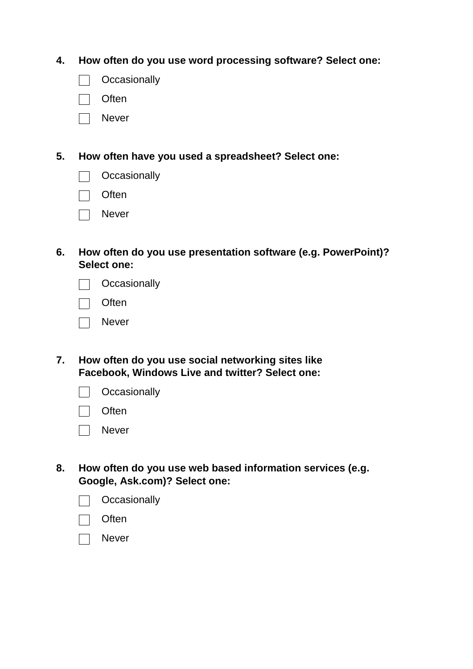**4. How often do you use word processing software? Select one:**

- $\Box$  Occasionally
- Often
- **Never**

**5. How often have you used a spreadsheet? Select one:**

|  | Occasionally |  |
|--|--------------|--|
|  |              |  |

- $\Box$  Often
- □ Never
- **6. How often do you use presentation software (e.g. PowerPoint)? Select one:**

| Occasionally |
|--------------|
|--------------|

- **Often**
- Never
- **7. How often do you use social networking sites like Facebook, Windows Live and twitter? Select one:**

| Occasionally |  |
|--------------|--|
|--------------|--|

- **Often**
- Never
- **8. How often do you use web based information services (e.g. Google, Ask.com)? Select one:**

| Occasionally |  |
|--------------|--|
|--------------|--|

- **Often**
- Never $\mathbf{I}$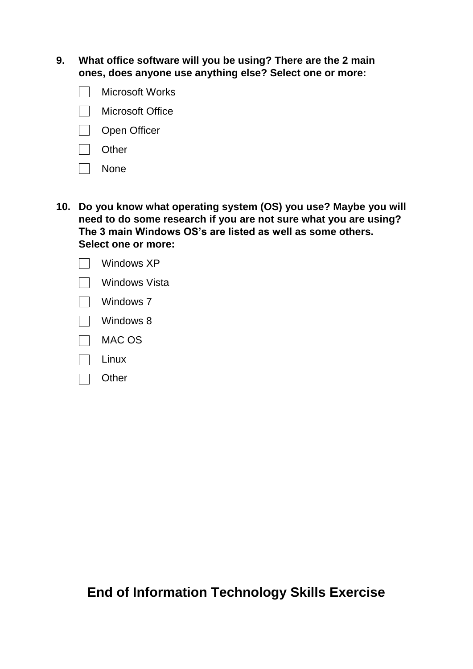**9. What office software will you be using? There are the 2 main ones, does anyone use anything else? Select one or more:**

- Microsoft Works  $\mathbf{I}$
- **Nicrosoft Office**
- Open Officer
- Other
- None
- **10. Do you know what operating system (OS) you use? Maybe you will need to do some research if you are not sure what you are using? The 3 main Windows OS's are listed as well as some others. Select one or more:**
	- Windows XP Windows Vista
	- $\Box$  Windows 7
	- $\Box$  Windows 8
	- $\Box$  MAC OS
	- Linux
	- Other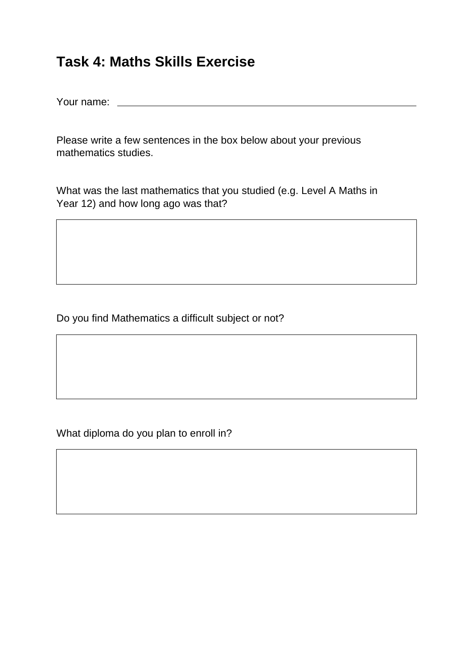### **Task 4: Maths Skills Exercise**

Your name:

Please write a few sentences in the box below about your previous mathematics studies.

What was the last mathematics that you studied (e.g. Level A Maths in Year 12) and how long ago was that?

Do you find Mathematics a difficult subject or not?

What diploma do you plan to enroll in?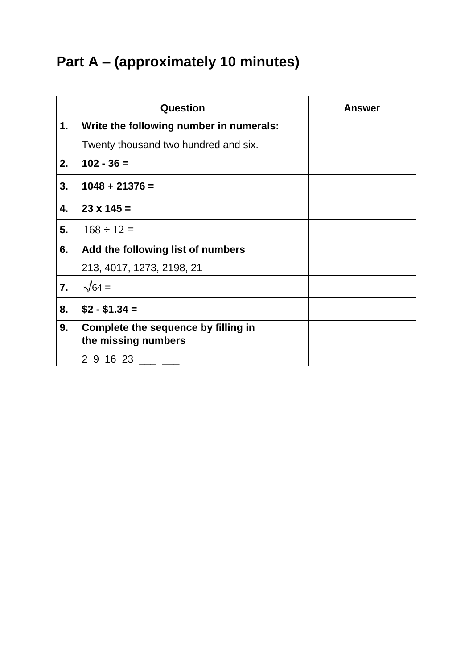# **Part A – (approximately 10 minutes)**

|    | Question                                                   | <b>Answer</b> |
|----|------------------------------------------------------------|---------------|
| 1. | Write the following number in numerals:                    |               |
|    | Twenty thousand two hundred and six.                       |               |
| 2. | $102 - 36 =$                                               |               |
| 3. | $1048 + 21376 =$                                           |               |
| 4. | $23 \times 145 =$                                          |               |
| 5. | $168 \div 12 =$                                            |               |
| 6. | Add the following list of numbers                          |               |
|    | 213, 4017, 1273, 2198, 21                                  |               |
| 7. | $\sqrt{64}$ =                                              |               |
| 8. | $$2 - $1.34 =$                                             |               |
| 9. | Complete the sequence by filling in<br>the missing numbers |               |
|    | 2 9 16 23                                                  |               |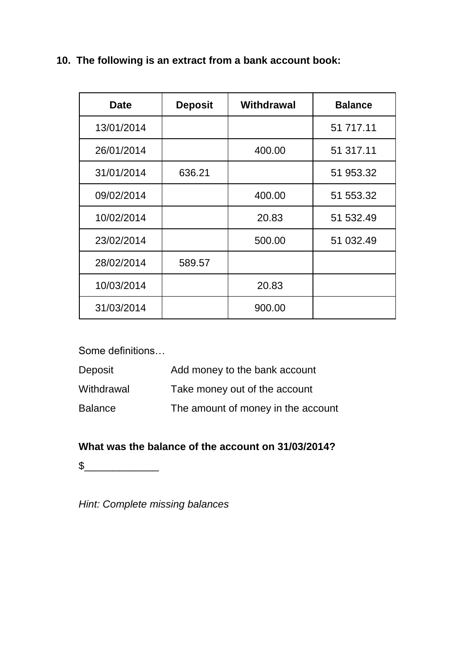**10. The following is an extract from a bank account book:**

| <b>Date</b> | <b>Deposit</b> | <b>Withdrawal</b> | <b>Balance</b> |
|-------------|----------------|-------------------|----------------|
| 13/01/2014  |                |                   | 51 717.11      |
| 26/01/2014  |                | 400.00            | 51 317.11      |
| 31/01/2014  | 636.21         |                   | 51 953.32      |
| 09/02/2014  |                | 400.00            | 51 553.32      |
| 10/02/2014  |                | 20.83             | 51 532.49      |
| 23/02/2014  |                | 500.00            | 51 032.49      |
| 28/02/2014  | 589.57         |                   |                |
| 10/03/2014  |                | 20.83             |                |
| 31/03/2014  |                | 900.00            |                |

Some definitions…

| Deposit        | Add money to the bank account      |
|----------------|------------------------------------|
| Withdrawal     | Take money out of the account      |
| <b>Balance</b> | The amount of money in the account |

#### **What was the balance of the account on 31/03/2014?**

 $\frac{1}{2}$ 

*Hint: Complete missing balances*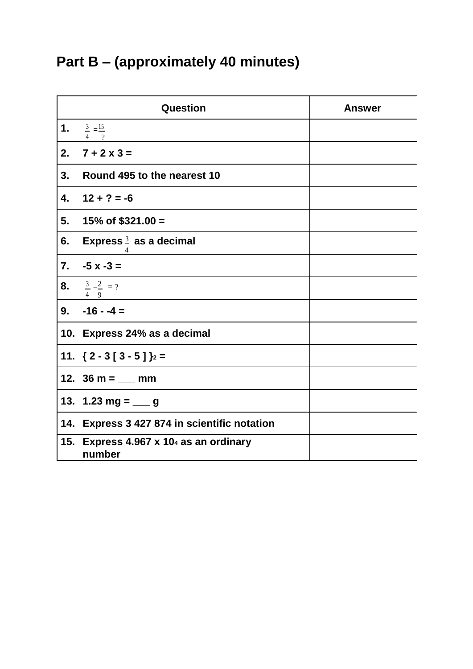# **Part B – (approximately 40 minutes)**

| Question         |                                                 | <b>Answer</b> |
|------------------|-------------------------------------------------|---------------|
| 1.               | $\frac{3}{2} = \frac{15}{3}$<br>$\gamma$        |               |
| 2.               | $7 + 2 \times 3 =$                              |               |
| 3.               | Round 495 to the nearest 10                     |               |
| 4.               | $12 + ? = -6$                                   |               |
| 5.               | 15% of $$321.00 =$                              |               |
| 6.               | Express $\frac{3}{2}$ as a decimal              |               |
| $\overline{7}$ . | $-5x-3=$                                        |               |
| 8.               | $\frac{3}{4} - \frac{2}{9} = ?$                 |               |
|                  | $9. -16 - 4 =$                                  |               |
|                  | 10. Express 24% as a decimal                    |               |
|                  | 11. $\{2 - 3 [3 - 5]\}$ <sub>2</sub> =          |               |
|                  | 12. $36 m =$ mm                                 |               |
|                  | 13. 1.23 mg = $\_\_$ g                          |               |
| 14.              | <b>Express 3 427 874 in scientific notation</b> |               |
| 15.              | Express 4.967 x 104 as an ordinary<br>number    |               |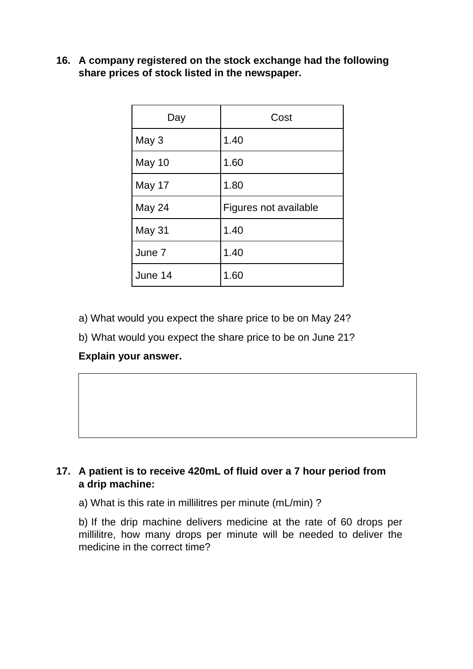**16. A company registered on the stock exchange had the following share prices of stock listed in the newspaper.**

| Day     | Cost                  |  |
|---------|-----------------------|--|
| May 3   | 1.40                  |  |
| May 10  | 1.60                  |  |
| May 17  | 1.80                  |  |
| May 24  | Figures not available |  |
| May 31  | 1.40                  |  |
| June 7  | 1.40                  |  |
| June 14 | 1.60                  |  |

- a) What would you expect the share price to be on May 24?
- b) What would you expect the share price to be on June 21?

#### **Explain your answer.**

#### **17. A patient is to receive 420mL of fluid over a 7 hour period from a drip machine:**

a) What is this rate in millilitres per minute (mL/min) ?

b) If the drip machine delivers medicine at the rate of 60 drops per millilitre, how many drops per minute will be needed to deliver the medicine in the correct time?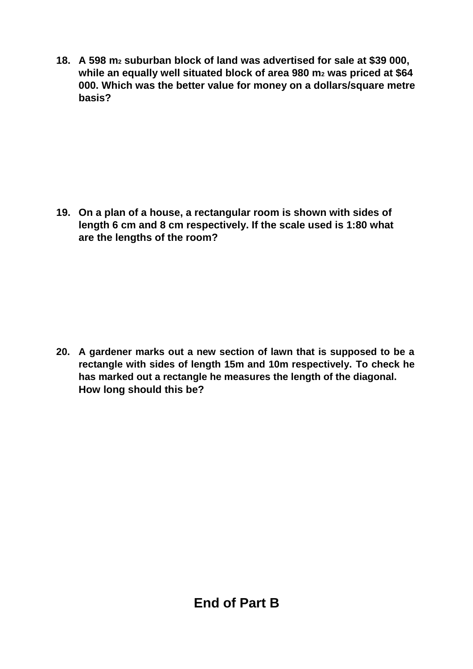**18. A 598 m<sup>2</sup> suburban block of land was advertised for sale at \$39 000, while an equally well situated block of area 980 m<sup>2</sup> was priced at \$64 000. Which was the better value for money on a dollars/square metre basis?**

**19. On a plan of a house, a rectangular room is shown with sides of length 6 cm and 8 cm respectively. If the scale used is 1:80 what are the lengths of the room?**

**20. A gardener marks out a new section of lawn that is supposed to be a rectangle with sides of length 15m and 10m respectively. To check he has marked out a rectangle he measures the length of the diagonal. How long should this be?**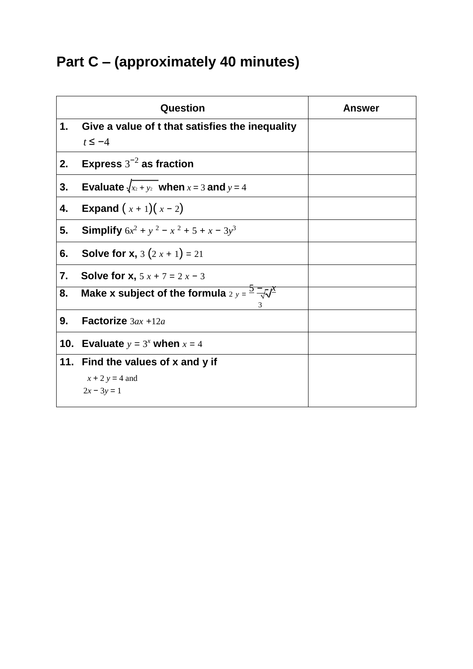# **Part C – (approximately 40 minutes)**

|     | Question                                                        | <b>Answer</b> |
|-----|-----------------------------------------------------------------|---------------|
| 1.  | Give a value of t that satisfies the inequality<br>$t \leq -4$  |               |
| 2.  | Express $3^{-2}$ as fraction                                    |               |
| 3.  | Evaluate $\sqrt{x_2 + y_2}$ when $x = 3$ and $y = 4$            |               |
| 4.  | <b>Expand</b> $(x + 1)(x - 2)$                                  |               |
| 5.  | <b>Simplify</b> $6x^2 + y^2 - x^2 + 5 + x - 3y^3$               |               |
| 6.  | <b>Solve for x,</b> $3(2x+1) = 21$                              |               |
| 7.  | <b>Solve for x,</b> $5x + 7 = 2x - 3$                           |               |
| 8.  | Make x subject of the formula $2 y = \frac{5}{2} \sqrt{x}$<br>3 |               |
| 9.  | Factorize $3ax + 12a$                                           |               |
| 10. | Evaluate $y = 3^x$ when $x = 4$                                 |               |
|     | 11. Find the values of x and y if                               |               |
|     | $x + 2y = 4$ and                                                |               |
|     | $2x - 3y = 1$                                                   |               |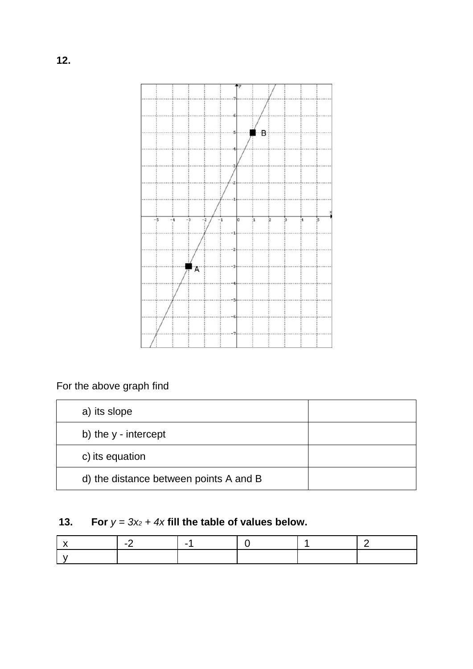

### For the above graph find

| a) its slope         |                                        |  |
|----------------------|----------------------------------------|--|
| b) the y - intercept |                                        |  |
| c) its equation      |                                        |  |
|                      | d) the distance between points A and B |  |

### **13. For**  $y = 3x_2 + 4x$  fill the table of values below.